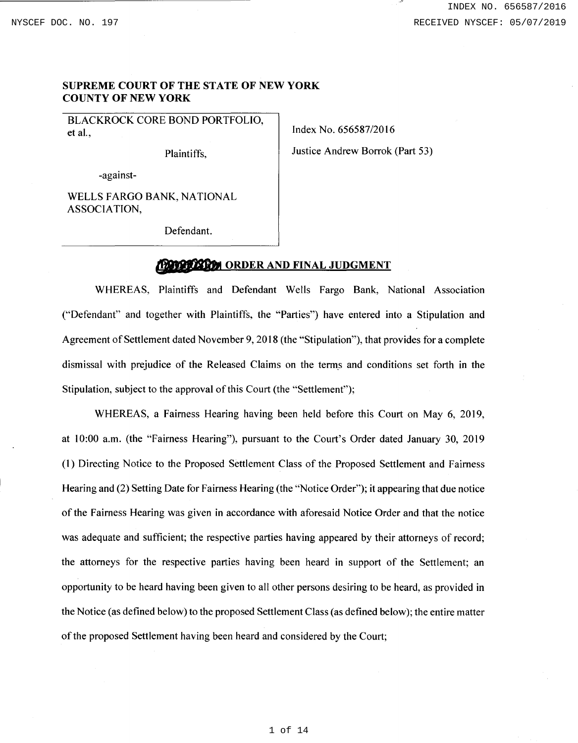### SUPREME COURT OF THE STATE OF NEW YORK COUNTY OF NEW YORK

BLACKROCK CORE BOND PORTFOLIO, et al.,

Plaintiffs,

Index No. 656587/2016 Justice Andrew Borrok (Part 53)

-against-

WELLS FARGO BANK, NATIONAL ASSOCIATION,

Defendant.

# **POWERS ORDER AND FINAL JUDGMENT**

WHEREAS, Plaintiffs and Defendant Wells Fargo Bank, National Association ("Defendant" and together with Plaintiffs, the "Parties") have entered into a Stipulation and Agreement of Settlement dated November 9, 2018 (the "Stipulation"), that provides for a complete dismissal with prejudice of the Released Claims on the terms and conditions set forth in the Stipulation, subject to the approval of this Court (the "Settlement");

WHEREAS, a Fairness Hearing having been held before this Court on May 6, 2019, at 10:00 a.m. (the "Fairness Hearing"), pursuant to the Court's Order dated January 30, 2019 (1) Directing Notice to the Proposed Settlement Class of the Proposed Settlement and Fairness Hearing and (2) Setting Date for Fairness Hearing (the "Notice Order"); it appearing that due notice of the Fairness Hearing was given in accordance with aforesaid Notice Order and that the notice was adequate and sufficient; the respective parties having appeared by their attorneys of record; the attorneys for the respective parties having been heard in support of the Settlement; an opportunity to be heard having been given to all other persons desiring to be heard, as provided in the Notice (as defined below) to the proposed Settlement Class (as defined below); the entire matter of the proposed Settlement having been heard and considered by the Court;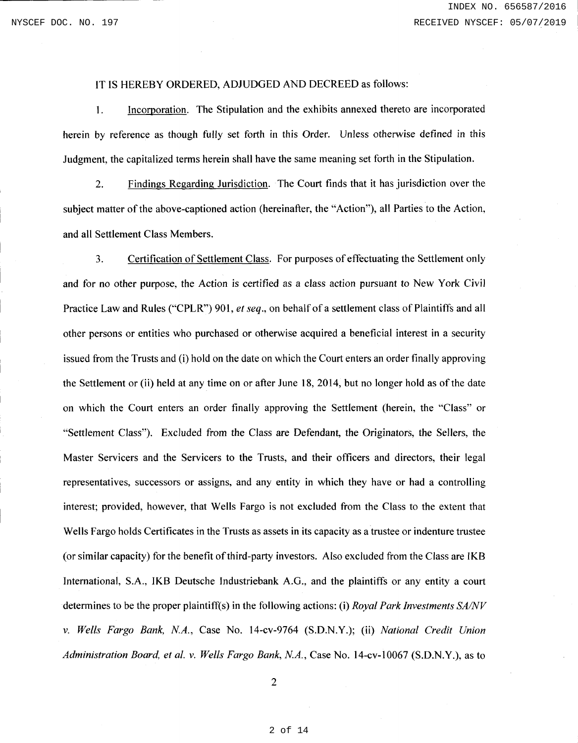### IT IS HEREBY ORDERED, ADJUDGED AND DECREED as follows:

1. Incorporation. The Stipulation and the exhibits annexed thereto are incorporated herein by reference as though fully set forth in this Order. Unless otherwise defined in this Judgment, the capitalized terms herein shall have the same meaning set forth in the Stipulation.

2. Findings Regarding Jurisdiction. The Court finds that it has jurisdiction over the subject matter of the above-captioned action (hereinafter, the "Action"), all Parties to the Action, and all Settlement Class Members.

3. Certification of Settlement Class. For purposes of effectuating the Settlement only and for no other purpose, the Action is certified as a class action pursuant to New York Civil Practice Law and Rules ("CPLR") 901, *et seq.*, on behalf of a settlement class of Plaintiffs and all other persons or entities who purchased or otherwise acquired a beneficial interest in a security issued from the Trusts and (i) hold on the date on which the Court enters an order finally approving the Settlement or (ii) held at any time on or after June 18, 2014, but no longer hold as of the date on which the Court enters an order finally approving the Settlement (herein, the "Class" or "Settlement Class"). Excluded from the Class are Defendant, the Originators, the Sellers, the Master Servicers and the Servicers to the Trusts, and their officers and directors, their legal representatives, successors or assigns, and any entity in which they have or had a controlling interest; provided, however, that Wells Fargo is not excluded from the Class to the extent that Wells Fargo holds Certificates in the Trusts as assets in its capacity as a trustee or indenture trustee (or similar capacity) for the benefit of third-party investors. Also excluded from the Class are IKB International, S.A., IKB Deutsche Industriebank A.G., and the plaintiffs or any entity a court determines to be the proper plaintiff(s) in the following actions: (i) *Royal Park Investments SA/NV v. Wells Fargo Bank, NA.,* Case No. 14-cv-9764 (S.D.N.Y.); (ii) *National Credit Union*  Administration Board, et al. v. Wells Fargo Bank, N.A., Case No. 14-cv-10067 (S.D.N.Y.), as to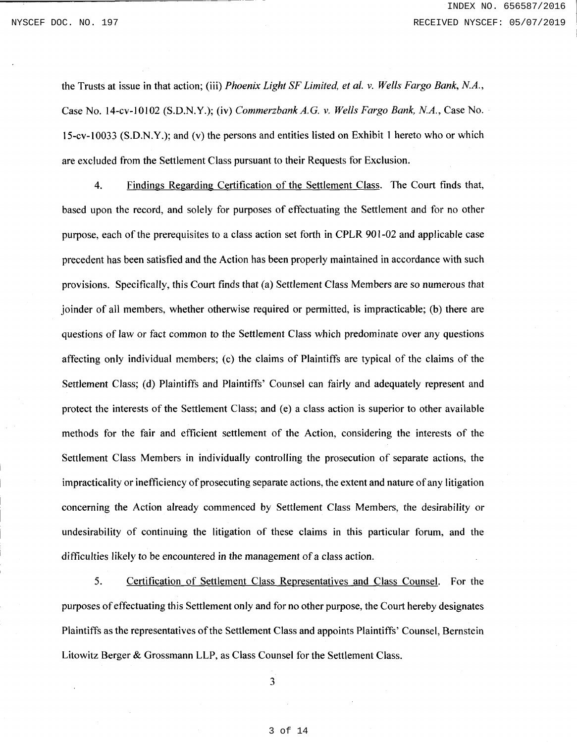the Trusts at issue in that action; (iii) *Phoenix Light SF Limited, et al. v. Wells Fargo Bank, N.A.,*  Case No. 14-cv-10102 (S.D.N.Y.); (iv) *CommerzbankA.G. v. Wells Fargo Bank, N.A.,* Case No. 15-cv-10033 (S.D.N.Y.); and (v) the persons and entities listed on Exhibit 1 hereto who or which are excluded from the Settlement Class pursuant to their Requests for Exclusion.

4. Findings Regarding Certification of the Settlement Class. The Court finds that, based upon the record, and solely for purposes of effectuating the Settlement and for no other purpose, each of the prerequisites to a class action set forth in CPLR 901-02 and applicable case precedent has been satisfied and the Action has been properly maintained in accordance with such provisions. Specifically, this Court finds that (a) Settlement Class Members are so numerous that joinder of all members, whether otherwise required or permitted, is impracticable; (b) there are questions of law or fact common to the Settlement Class which predominate over any questions affecting only individual members; (c) the claims of Plaintiffs are typical of the claims of the Settlement Class; (d) Plaintiffs and Plaintiffs' Counsel can fairly and adequately represent and protect the interests of the Settlement Class; and (e) a class action is superior to other available methods for the fair and efficient settlement of the Action, considering the interests of the Settlement Class Members in individually controlling the prosecution of separate actions, the impracticality or inefficiency of prosecuting separate actions, the extent and nature of any litigation concerning the Action already commenced by Settlement Class Members, the desirability or undesirability of continuing the litigation of these claims in this particular forum, and the difficulties likely to be encountered in the management of a class action.

5. Certification of Settlement Class Representatives and Class Counsel. For the purposes of effectuating this Settlement only and for no other purpose, the Court hereby designates Plaintiffs as the representatives of the Settlement Class and appoints Plaintiffs' Counsel, Bernstein Litowitz Berger & Grossmann LLP, as Class Counsel for the Settlement Class.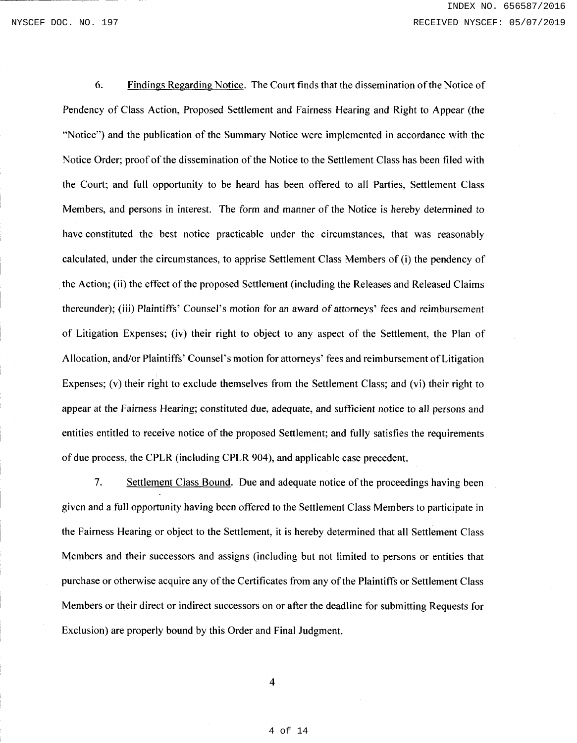6. Findings Regarding Notice. The Court finds that the dissemination of the Notice of Pendency of Class Action, Proposed Settlement and Fairness Hearing and Right to Appear (the "Notice") and the publication of the Summary Notice were implemented in accordance with the Notice Order; proof of the dissemination of the Notice to the Settlement Class has been filed with the Court; and full opportunity to be heard has been offered to all Parties, Settlement Class Members, and persons in interest. The form and manner of the Notice is hereby determined to have constituted the best notice practicable under the circumstances, that was reasonably calculated, under the circumstances, to apprise Settlement Class Members of (i) the pendency of the Action; (ii) the effect of the proposed Settlement (including the Releases and Released Claims thereunder); (iii) Plaintiffs' Counsel's motion for an award of attorneys' fees and reimbursement of Litigation Expenses; (iv) their right to object to any aspect of the Settlement, the Plan of Allocation, and/or Plaintiffs' Counsel's motion for attorneys' fees and reimbursement of Litigation Expenses; (v) their right to exclude themselves from the Settlement Class; and (vi) their right to appear at the Fairness Hearing; constituted due, adequate, and sufficient notice to all persons and entities entitled to receive notice of the proposed Settlement; and fully satisfies the requirements of due process, the CPLR (including CPLR 904), and applicable case precedent.

7. Settlement Class Bound. Due and adequate notice ofthe proceedings having been given and a full opportunity having been offered to the Settlement Class Members to participate in the Fairness Hearing or object to the Settlement, it is hereby determined that all Settlement Class Members and their successors and assigns (including but not limited to persons or entities that purchase or otherwise acquire any of the Certificates from any of the Plaintiffs or Settlement Class Members or their direct or indirect successors on or after the deadline for submitting Requests for Exclusion) are properly bound by this Order and Final Judgment.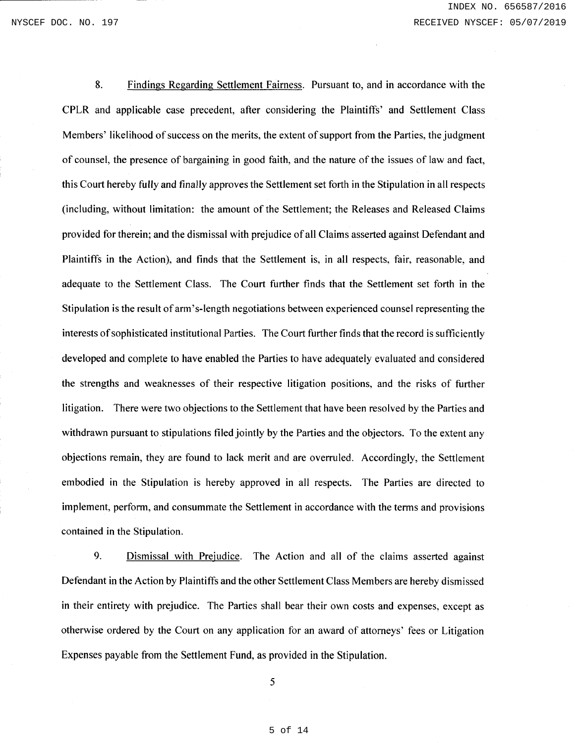8. Findings Regarding Settlement Fairness. Pursuant to, and in accordance with the CPLR and applicable case precedent, after considering the Plaintiffs' and Settlement Class Members' likelihood of success on the merits, the extent of support from the Parties, the judgment of counsel, the presence of bargaining in good faith, and the nature of the issues of law and fact, this Court hereby fully and finally approves the Settlement set forth in the Stipulation in all respects (including, without limitation: the amount of the Settlement; the Releases and Released Claims provided for therein; and the dismissal with prejudice of all Claims asserted against Defendant and Plaintiffs in the Action), and finds that the Settlement is, in all respects, fair, reasonable, and adequate to the Settlement Class. The Court further finds that the Settlement set forth in the Stipulation is the result of arm's-length negotiations between experienced counsel representing the interests of sophisticated institutional Parties. The Court further finds that the record is sufficiently developed and complete to have enabled the Parties to have adequately evaluated and considered the strengths and weaknesses of their respective litigation positions, and the risks of further litigation. There were two objections to the Settlement that have been resolved by the Parties and withdrawn pursuant to stipulations filed jointly by the Parties and the objectors. To the extent any objections remain, they are found to lack merit and are overruled. Accordingly, the Settlement embodied in the Stipulation is hereby approved in all respects. The Parties are directed to implement, perform, and consummate the Settlement in accordance with the terms and provisions contained in the Stipulation.

9. Dismissal with Prejudice. The Action and all of the claims asserted against Defendant in the Action by Plaintiffs and the other Settlement Class Members are hereby dismissed in their entirety with prejudice. The Parties shall bear their own costs and expenses, except as otherwise ordered by the Court on any application for an award of attorneys' fees or Litigation Expenses payable from the Settlement Fund, as provided in the Stipulation.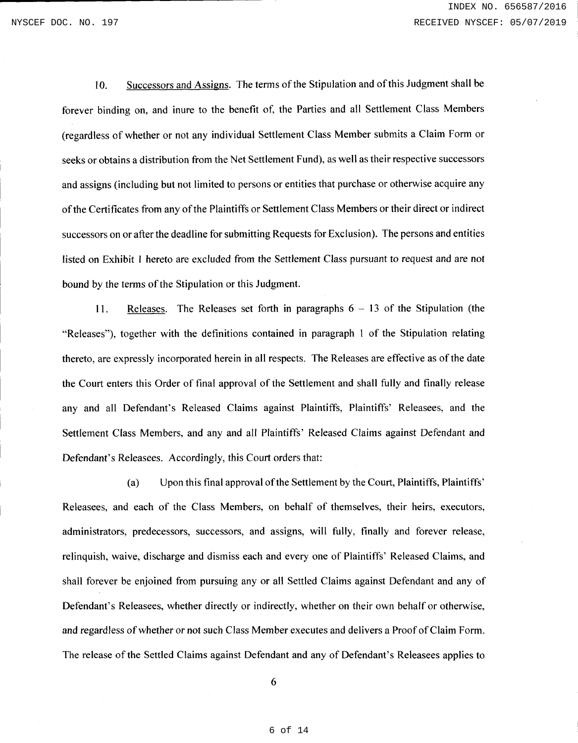10. Successors and Assigns. The terms of the Stipulation and of this Judgment shall be forever binding on, and inure to the benefit of, the Parties and all Settlement Class Members (regardless of whether or not any individual Settlement Class Member submits a Claim Form or seeks or obtains a distribution from the Net Settlement Fund), as well as their respective successors and assigns (including but not limited to persons or entities that purchase or otherwise acquire any of the Certificates from any of the Plaintiffs or Settlement Class Members or their direct or indirect successors on or after the deadline for submitting Requests for Exclusion). The persons and entities listed on Exhibit I hereto are excluded from the Settlement Class pursuant to request and are not bound by the terms of the Stipulation or this Judgment.

11. Releases. The Releases set forth in paragraphs  $6 - 13$  of the Stipulation (the "Releases"), together with the definitions contained in paragraph 1 of the Stipulation relating thereto, are expressly incorporated herein in all respects. The Releases are effective as of the date the Court enters this Order of final approval of the Settlement and shall fully and finally release any and all Defendant's Released Claims against Plaintiffs, Plaintiffs' Releasees, and the Settlement Class Members, and any and all Plaintiffs' Released Claims against Defendant and Defendant's Releasees. Accordingly, this Court orders that:

(a) Upon this final approval of the Settlement by the Court, Plaintiffs, Plaintiffs' Releasees, and each of the Class Members, on behalf of themselves, their heirs, executors, administrators, predecessors, successors, and assigns, will fully, finally and forever release, relinquish, waive, discharge and dismiss each and every one of Plaintiffs' Released Claims, and shall forever be enjoined from pursuing any or all Settled Claims against Defendant and any of Defendant's Releasees, whether directly or indirectly, whether on their own behalf or otherwise, and regardless of whether or not such Class Member executes and delivers a Proof of Claim Form. The release of the Settled Claims against Defendant and any of Defendant's Releasees applies to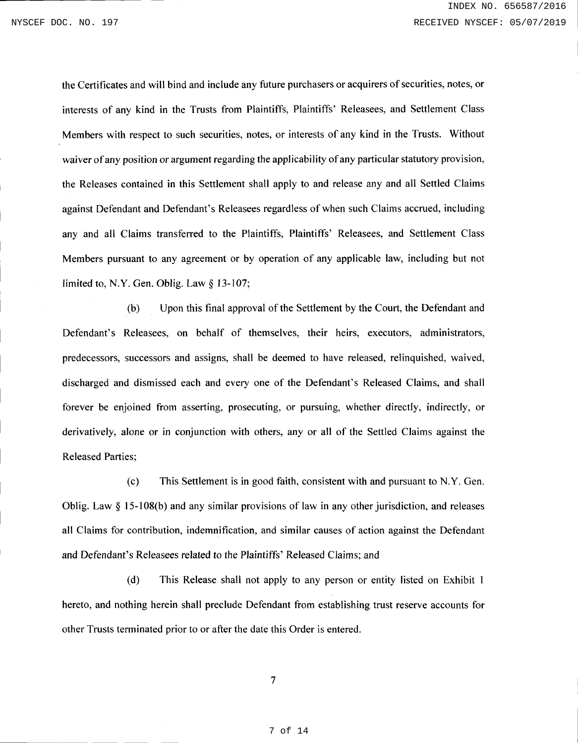the Certificates and will bind and include any future purchasers or acquirers of securities, notes, or interests of any kind in the Trusts from Plaintiffs, Plaintiffs' Releasees, and Settlement Class Members with respect to such securities, notes, or interests of any kind in the Trusts. Without waiver of any position or argument regarding the applicability of any particular statutory provision, the Releases contained in this Settlement shall apply to and release any and all Settled Claims against Defendant and Defendant's Releasees regardless of when such Claims accrued, including any and all Claims transferred to the Plaintiffs, Plaintiffs' Releasees, and Settlement Class Members pursuant to any agreement or by operation of any applicable law, including but not limited to, N.Y. Gen. Oblig. Law§ 13-107;

(b) Upon this final approval of the Settlement by the Court, the Defendant and Defendant's Releasees, on behalf of themselves, their heirs, executors, administrators, predecessors, successors and assigns, shall be deemed to have released, relinquished, waived, discharged and dismissed each and every one of the Defendant's Released Claims, and shall forever be enjoined from asserting, prosecuting, or pursuing, whether directly, indirectly, or derivatively, alone or in conjunction with others, any or all of the Settled Claims against the Released Parties;

(c) This Settlement is in good faith, consistent with and pursuant to N.Y. Gen. Oblig. Law  $\S$  15-108(b) and any similar provisions of law in any other jurisdiction, and releases all Claims for contribution, indemnification, and similar causes of action against the Defendant and Defendant's Releasees related to the Plaintiffs' Released Claims; and

(d) This Release shall not apply to any person or entity listed on Exhibit hereto, and nothing herein shall preclude Defendant from establishing trust reserve accounts for other Trusts terminated prior to or after the date this Order is entered.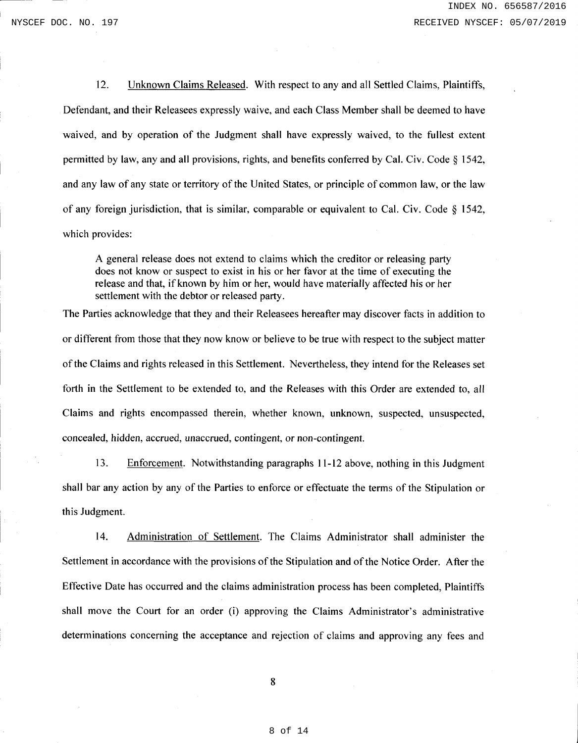12. Unknown Claims Released. With respect to any and all Settled Claims, Plaintiffs, Defendant, and their Releasees expressly waive, and each Class Member shall be deemed to have waived, and by operation of the Judgment shall have expressly waived, to the fullest extent permitted by law, any and all provisions, rights, and benefits conferred by Cal. Civ. Code§ 1542, and any law of any state or territory of the United States, or principle of common law, or the law of any foreign jurisdiction, that is similar, comparable or equivalent to Cal. Civ. Code  $\S$  1542, which provides:

A general release does not extend to claims which the creditor or releasing party does not know or suspect to exist in his or her favor at the time of executing the release and that, if known by him or her, would have materially affected his or her settlement with the debtor or released party.

The Parties acknowledge that they and their Releasees hereafter may discover facts in addition to or different from those that they now know or believe to be true with respect to the subject matter of the Claims and rights released in this Settlement. Nevertheless, they intend for the Releases set forth in the Settlement to be extended to, and the Releases with this Order are extended to, all Claims and rights encompassed therein, whether known, unknown, suspected, unsuspected, concealed, hidden, accrued, unaccrued, contingent, or non-contingent.

13. Enforcement. Notwithstanding paragraphs 11-12 above, nothing in this Judgment shall bar any action by any of the Parties to enforce or effectuate the terms of the Stipulation or this Judgment.

14. Administration of Settlement. The Claims Administrator shall administer the Settlement in accordance with the provisions of the Stipulation and of the Notice Order. After the Effective Date has occurred and the claims administration process has been completed, Plaintiffs shall move the Court for an order (i) approving the Claims Administrator's administrative determinations concerning the acceptance and rejection of claims and approving any fees and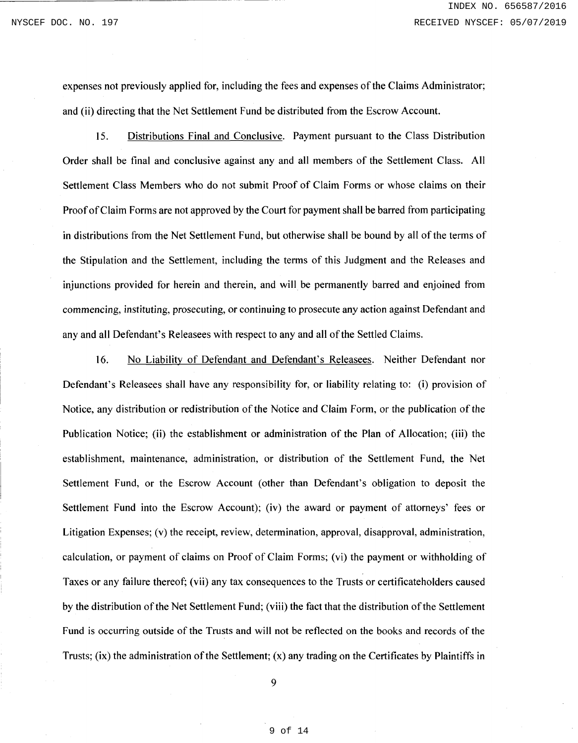expenses not previously applied for, including the fees and expenses of the Claims Administrator; and (ii) directing that the Net Settlement Fund be distributed from the Escrow Account.

15. Distributions Final and Conclusive. Payment pursuant to the Class Distribution Order shall be final and conclusive against any and all members of the Settlement Class. All Settlement Class Members who do not submit Proof of Claim Forms or whose claims on their Proof of Claim Forms are not approved by the Court for payment shall be barred from participating in distributions from the Net Settlement Fund, but otherwise shall be bound by all of the terms of the Stipulation and the Settlement, including the terms of this Judgment and the Releases and injunctions provided for herein and therein, and will be permanently barred and enjoined from commencing, instituting, prosecuting, or continuing to prosecute any action against Defendant and any and all Defendant's Releasees with respect to any and all of the Settled Claims.

16. No Liability of Defendant and Defendant's Releasees. Neither Defendant nor Defendant's Releasees shall have any responsibility for, or liability relating to: (i) provision of Notice, any distribution or redistribution of the Notice and Claim Form, or the publication of the Publication Notice; (ii) the establishment or administration of the Plan of Allocation; (iii) the establishment, maintenance, administration, or distribution of the Settlement Fund, the Net Settlement Fund, or the Escrow Account (other than Defendant's obligation to deposit the Settlement Fund into the Escrow Account); (iv) the award or payment of attorneys' fees or Litigation Expenses; (v) the receipt, review, determination, approval, disapproval, administration, calculation, or payment of claims on Proof of Claim Forms; (vi) the payment or withholding of Taxes or any failure thereof; (vii) any tax consequences to the Trusts or certificateholders caused by the distribution of the Net Settlement Fund; (viii) the fact that the distribution of the Settlement Fund is occurring outside of the Trusts and will not be reflected on the books and records of the Trusts;  $(ix)$  the administration of the Settlement;  $(x)$  any trading on the Certificates by Plaintiffs in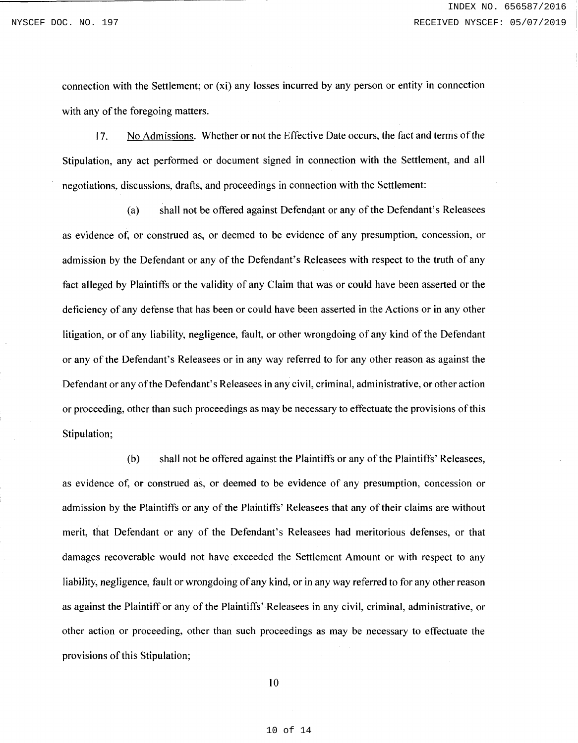connection with the Settlement; or (xi) any losses incurred by any person or entity in connection with any of the foregoing matters.

17. No Admissions. Whether or not the Effective Date occurs, the fact and terms of the Stipulation, any act performed or document signed in connection with the Settlement, and all negotiations, discussions, drafts, and proceedings in connection with the Settlement:

(a) shall not be offered against Defendant or any of the Defendant's Releasees as evidence of, or construed as, or deemed to be evidence of any presumption, concession, or admission by the Defendant or any of the Defendant's Releasees with respect to the truth of any fact alleged by Plaintiffs or the validity of any Claim that was or could have been asserted or the deficiency of any defense that has been or could have been asserted in the Actions or in any other litigation, or of any liability, negligence, fault, or other wrongdoing of any kind of the Defendant or any of the Defendant's Releasees or in any way referred to for any other reason as against the Defendant or any of the Defendant's Releasees in any civil, criminal, administrative, or other action or proceeding, other than such proceedings as may be necessary to effectuate the provisions of this Stipulation;

(b) shall not be offered against the Plaintiffs or any ofthe Plaintiffs' Releasees, as evidence of, or construed as, or deemed to be evidence of any presumption, concession or admission by the Plaintiffs or any of the Plaintiffs' Releasees that any of their claims are without merit, that Defendant or any of the Defendant's Releasees had meritorious defenses, or that damages recoverable would not have exceeded the Settlement Amount or with respect to any liability, negligence, fault or wrongdoing of any kind, or in any way referred to for any other reason as against the Plaintiff or any of the Plaintiffs' Releasees in any civil, criminal, administrative, or other action or proceeding, other than such proceedings as may be necessary to effectuate the provisions of this Stipulation;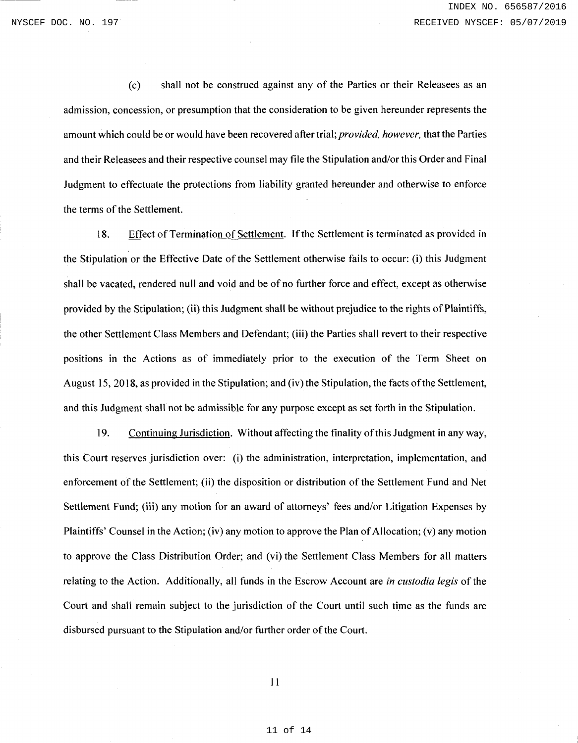(c) shall not be construed against any of the Parties or their Releasees as an admission, concession, or presumption that the consideration to be given hereunder represents the amount which could be or would have been recovered after trial; *provided, however,* that the Parties and their Releasees and their respective counsel may file the Stipulation and/or this Order and Final Judgment to effectuate the protections from liability granted hereunder and otherwise to enforce the terms of the Settlement.

18. Effect of Termination of Settlement. Ifthe Settlement is terminated as provided in the Stipulation or the Effective Date of the Settlement otherwise fails to occur: (i) this Judgment shall be vacated, rendered null and void and be of no further force and effect, except as otherwise provided by the Stipulation; (ii) this Judgment shall be without prejudice to the rights of Plaintiffs, the other Settlement Class Members and Defendant; (iii) the Parties shall revert to their respective positions in the Actions as of immediately prior to the execution of the Term Sheet on August 15, 2018, as provided in the Stipulation; and (iv) the Stipulation, the facts of the Settlement, and this Judgment shall not be admissible for any purpose except as set forth in the Stipulation.

19. Continuing Jurisdiction. Without affecting the finality of this Judgment in any way, this Court reserves jurisdiction over: (i) the administration, interpretation, implementation, and enforcement of the Settlement; (ii) the disposition or distribution of the Settlement Fund and Net Settlement Fund; (iii) any motion for an award of attorneys' fees and/or Litigation Expenses by Plaintiffs' Counsel in the Action; (iv) any motion to approve the Plan of Allocation; (v) any motion to approve the Class Distribution Order; and (vi) the Settlement Class Members for all matters relating to the Action. Additionally, all funds in the Escrow Account are *in custodia legis* of the Court and shall remain subject to the jurisdiction of the Court until such time as the funds are disbursed pursuant to the Stipulation and/or further order of the Court.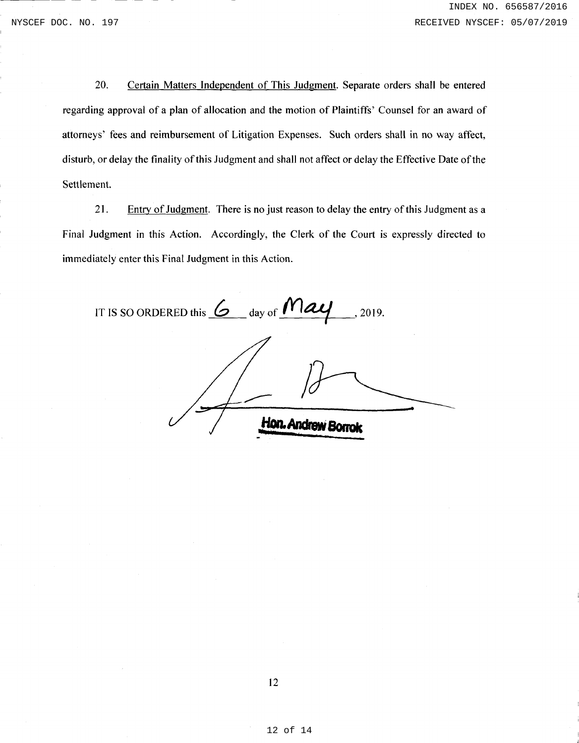----------------------------------- --

20. Certain Matters Independent of This Judgment. Separate orders shall be entered regarding approval of a plan of allocation and the motion of Plaintiffs' Counsel for an award of attorneys' fees and reimbursement of Litigation Expenses. Such orders shall in no way affect, disturb, or delay the finality of this Judgment and shall not affect or delay the Effective Date of the Settlement.

21. Entry of Judgment. There is no just reason to delay the entry of this Judgment as a Final Judgment in this Action. Accordingly, the Clerk of the Court is expressly directed to immediately enter this Final Judgment in this Action.

IT IS SO ORDERED this  $6$  day of *ray*<sub>2019</sub>. Hon. Andrew Borrok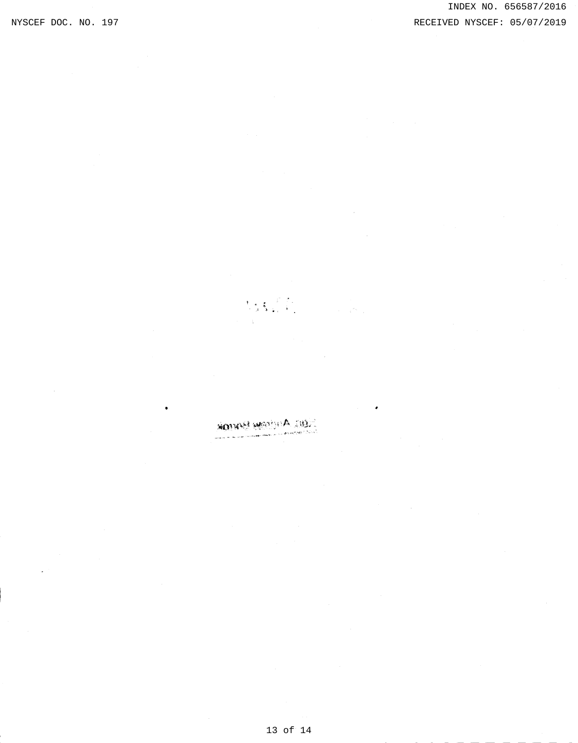13 of 14

 $\mathbf{t} \in \mathbb{C}^{|\mathcal{I}|}_{\infty}$